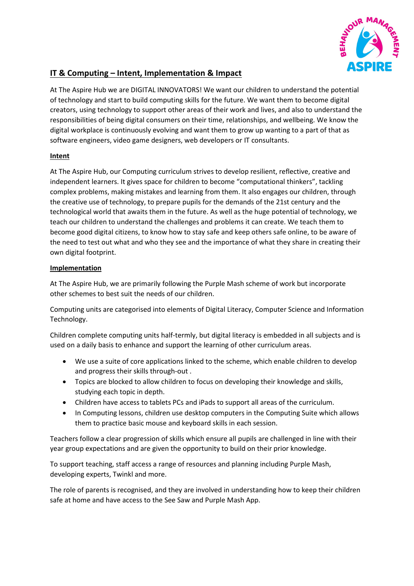

## **IT & Computing – Intent, Implementation & Impact**

At The Aspire Hub we are DIGITAL INNOVATORS! We want our children to understand the potential of technology and start to build computing skills for the future. We want them to become digital creators, using technology to support other areas of their work and lives, and also to understand the responsibilities of being digital consumers on their time, relationships, and wellbeing. We know the digital workplace is continuously evolving and want them to grow up wanting to a part of that as software engineers, video game designers, web developers or IT consultants.

## **Intent**

At The Aspire Hub, our Computing curriculum strives to develop resilient, reflective, creative and independent learners. It gives space for children to become "computational thinkers", tackling complex problems, making mistakes and learning from them. It also engages our children, through the creative use of technology, to prepare pupils for the demands of the 21st century and the technological world that awaits them in the future. As well as the huge potential of technology, we teach our children to understand the challenges and problems it can create. We teach them to become good digital citizens, to know how to stay safe and keep others safe online, to be aware of the need to test out what and who they see and the importance of what they share in creating their own digital footprint.

## **Implementation**

At The Aspire Hub, we are primarily following the Purple Mash scheme of work but incorporate other schemes to best suit the needs of our children.

Computing units are categorised into elements of Digital Literacy, Computer Science and Information Technology.

Children complete computing units half-termly, but digital literacy is embedded in all subjects and is used on a daily basis to enhance and support the learning of other curriculum areas.

- We use a suite of core applications linked to the scheme, which enable children to develop and progress their skills through-out .
- Topics are blocked to allow children to focus on developing their knowledge and skills, studying each topic in depth.
- Children have access to tablets PCs and iPads to support all areas of the curriculum.
- In Computing lessons, children use desktop computers in the Computing Suite which allows them to practice basic mouse and keyboard skills in each session.

Teachers follow a clear progression of skills which ensure all pupils are challenged in line with their year group expectations and are given the opportunity to build on their prior knowledge.

To support teaching, staff access a range of resources and planning including Purple Mash, developing experts, Twinkl and more.

The role of parents is recognised, and they are involved in understanding how to keep their children safe at home and have access to the See Saw and Purple Mash App.